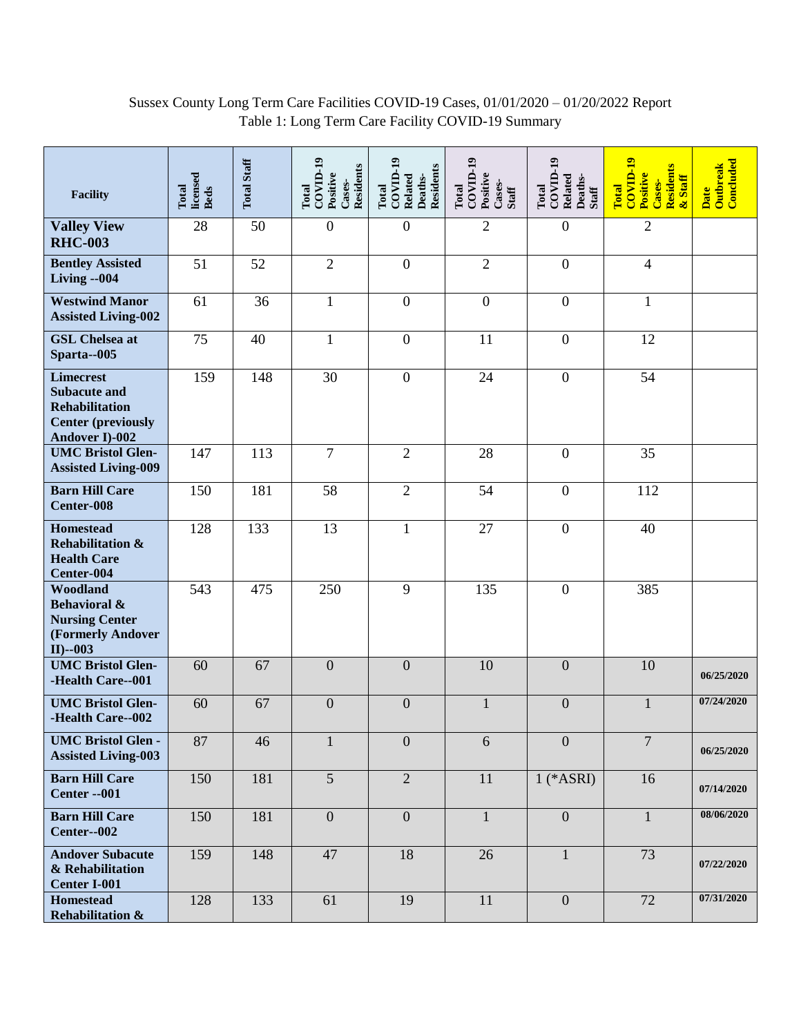## Sussex County Long Term Care Facilities COVID-19 Cases, 01/01/2020 – 01/20/2022 Report Table 1: Long Term Care Facility COVID-19 Summary

| <b>Facility</b>                                                                                                 | licensed<br>Total<br><b>Beds</b> | <b>Total Staff</b> | $COVID-19$<br>Residents<br>Positive<br>Cases-<br>Total | $COVID-19$<br><b>Residents</b><br>Related<br>Deaths-<br>Total | Total<br>COVID-19<br>Positive<br>Cases-<br><b>Staff</b> | $COVID-19$<br>Related<br>Deaths-<br>Total<br>Staff | $\overline{\text{COVID-19}}$<br>Residents<br>Positive<br>& Staff<br>Cases-<br>Total | Concluded<br><b>Outbreak</b><br>Date |
|-----------------------------------------------------------------------------------------------------------------|----------------------------------|--------------------|--------------------------------------------------------|---------------------------------------------------------------|---------------------------------------------------------|----------------------------------------------------|-------------------------------------------------------------------------------------|--------------------------------------|
| <b>Valley View</b><br><b>RHC-003</b>                                                                            | 28                               | 50                 | $\boldsymbol{0}$                                       | $\boldsymbol{0}$                                              | $\mathfrak{2}$                                          | $\overline{0}$                                     | $\overline{2}$                                                                      |                                      |
| <b>Bentley Assisted</b><br>Living --004                                                                         | 51                               | 52                 | $\overline{2}$                                         | $\boldsymbol{0}$                                              | $\overline{2}$                                          | $\overline{0}$                                     | $\overline{4}$                                                                      |                                      |
| <b>Westwind Manor</b><br><b>Assisted Living-002</b>                                                             | 61                               | 36                 | $\mathbf{1}$                                           | $\boldsymbol{0}$                                              | $\boldsymbol{0}$                                        | $\overline{0}$                                     | $\mathbf{1}$                                                                        |                                      |
| <b>GSL Chelsea at</b><br>Sparta--005                                                                            | 75                               | 40                 | $\mathbf{1}$                                           | $\overline{0}$                                                | 11                                                      | $\overline{0}$                                     | 12                                                                                  |                                      |
| <b>Limecrest</b><br><b>Subacute and</b><br><b>Rehabilitation</b><br><b>Center (previously</b><br>Andover I)-002 | 159                              | 148                | 30                                                     | $\boldsymbol{0}$                                              | 24                                                      | $\boldsymbol{0}$                                   | 54                                                                                  |                                      |
| <b>UMC Bristol Glen-</b><br><b>Assisted Living-009</b>                                                          | 147                              | 113                | $\overline{7}$                                         | $\overline{2}$                                                | 28                                                      | $\boldsymbol{0}$                                   | 35                                                                                  |                                      |
| <b>Barn Hill Care</b><br>Center-008                                                                             | 150                              | 181                | 58                                                     | $\overline{2}$                                                | 54                                                      | $\boldsymbol{0}$                                   | 112                                                                                 |                                      |
| <b>Homestead</b><br><b>Rehabilitation &amp;</b><br><b>Health Care</b><br>Center-004                             | 128                              | 133                | 13                                                     | $\mathbf{1}$                                                  | 27                                                      | $\overline{0}$                                     | 40                                                                                  |                                      |
| Woodland<br><b>Behavioral &amp;</b><br><b>Nursing Center</b><br>(Formerly Andover<br>$II$ )--003                | 543                              | 475                | 250                                                    | 9                                                             | 135                                                     | $\overline{0}$                                     | 385                                                                                 |                                      |
| <b>UMC Bristol Glen-</b><br>-Health Care--001                                                                   | 60                               | 67                 | $\overline{0}$                                         | $\overline{0}$                                                | 10                                                      | $\overline{0}$                                     | 10                                                                                  | 06/25/2020                           |
| <b>UMC Bristol Glen-</b><br>-Health Care--002                                                                   | 60                               | 67                 | $\boldsymbol{0}$                                       | $\boldsymbol{0}$                                              | $\mathbf 1$                                             | $\boldsymbol{0}$                                   | $\mathbf{1}$                                                                        | 07/24/2020                           |
| <b>UMC Bristol Glen -</b><br><b>Assisted Living-003</b>                                                         | 87                               | 46                 | $\mathbf{1}$                                           | $\boldsymbol{0}$                                              | 6                                                       | $\overline{0}$                                     | $\overline{7}$                                                                      | 06/25/2020                           |
| <b>Barn Hill Care</b><br><b>Center -- 001</b>                                                                   | 150                              | 181                | $\overline{5}$                                         | $\overline{2}$                                                | $11\,$                                                  | $1$ (*ASRI)                                        | 16                                                                                  | 07/14/2020                           |
| <b>Barn Hill Care</b><br>Center--002                                                                            | 150                              | 181                | $\overline{0}$                                         | $\overline{0}$                                                | $\mathbf{1}$                                            | $\overline{0}$                                     | $\mathbf{1}$                                                                        | 08/06/2020                           |
| <b>Andover Subacute</b><br>& Rehabilitation<br><b>Center I-001</b>                                              | 159                              | 148                | 47                                                     | 18                                                            | 26                                                      | $\mathbf{1}$                                       | 73                                                                                  | 07/22/2020                           |
| <b>Homestead</b><br><b>Rehabilitation &amp;</b>                                                                 | 128                              | 133                | 61                                                     | 19                                                            | 11                                                      | $\boldsymbol{0}$                                   | 72                                                                                  | 07/31/2020                           |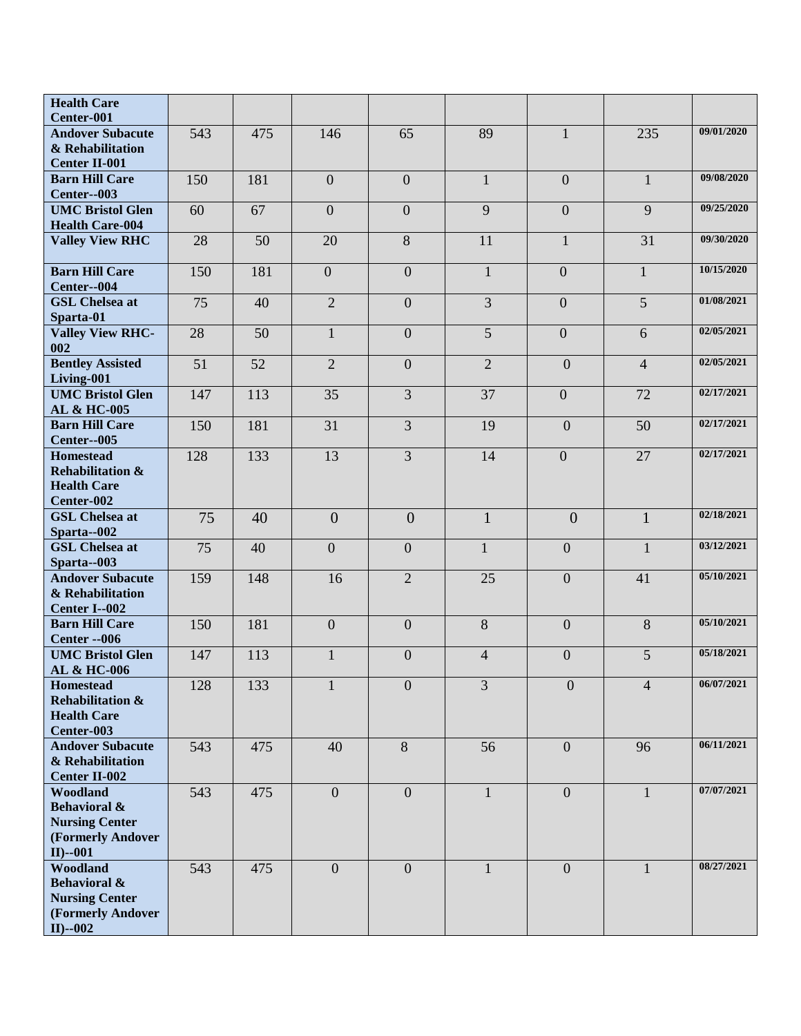| <b>Health Care</b><br>Center-001                                                                 |     |     |                  |                  |                          |                  |                |            |
|--------------------------------------------------------------------------------------------------|-----|-----|------------------|------------------|--------------------------|------------------|----------------|------------|
| <b>Andover Subacute</b><br>& Rehabilitation<br><b>Center II-001</b>                              | 543 | 475 | 146              | 65               | 89                       | $\mathbf{1}$     | 235            | 09/01/2020 |
| <b>Barn Hill Care</b><br>Center--003                                                             | 150 | 181 | $\boldsymbol{0}$ | $\boldsymbol{0}$ | $\mathbf 1$              | $\mathbf{0}$     | $\mathbf{1}$   | 09/08/2020 |
| <b>UMC Bristol Glen</b><br><b>Health Care-004</b>                                                | 60  | 67  | $\mathbf{0}$     | $\overline{0}$   | 9                        | $\overline{0}$   | 9              | 09/25/2020 |
| <b>Valley View RHC</b>                                                                           | 28  | 50  | 20               | 8                | 11                       | $\mathbf{1}$     | 31             | 09/30/2020 |
| <b>Barn Hill Care</b><br>Center--004                                                             | 150 | 181 | $\overline{0}$   | $\boldsymbol{0}$ | $\mathbf{1}$             | $\mathbf{0}$     | $\mathbf{1}$   | 10/15/2020 |
| <b>GSL Chelsea at</b><br>Sparta-01                                                               | 75  | 40  | $\overline{2}$   | $\overline{0}$   | 3                        | $\mathbf{0}$     | 5              | 01/08/2021 |
| <b>Valley View RHC-</b><br>002                                                                   | 28  | 50  | $\mathbf{1}$     | $\overline{0}$   | 5                        | $\mathbf{0}$     | 6              | 02/05/2021 |
| <b>Bentley Assisted</b><br>Living-001                                                            | 51  | 52  | $\overline{2}$   | $\overline{0}$   | $\overline{2}$           | $\overline{0}$   | $\overline{4}$ | 02/05/2021 |
| <b>UMC Bristol Glen</b><br>AL & HC-005                                                           | 147 | 113 | 35               | 3                | 37                       | $\boldsymbol{0}$ | 72             | 02/17/2021 |
| <b>Barn Hill Care</b><br>Center--005                                                             | 150 | 181 | 31               | 3                | 19                       | $\overline{0}$   | 50             | 02/17/2021 |
| <b>Homestead</b><br><b>Rehabilitation &amp;</b><br><b>Health Care</b><br>Center-002              | 128 | 133 | 13               | 3                | 14                       | $\boldsymbol{0}$ | 27             | 02/17/2021 |
| <b>GSL Chelsea at</b><br>Sparta--002                                                             | 75  | 40  | $\overline{0}$   | $\overline{0}$   | $\mathbf{1}$             | $\overline{0}$   | 1              | 02/18/2021 |
| <b>GSL Chelsea at</b><br>Sparta--003                                                             | 75  | 40  | $\boldsymbol{0}$ | $\boldsymbol{0}$ | $\mathbf{1}$             | $\overline{0}$   | 1              | 03/12/2021 |
| <b>Andover Subacute</b><br>& Rehabilitation<br>Center I--002                                     | 159 | 148 | 16               | $\overline{2}$   | 25                       | $\overline{0}$   | 41             | 05/10/2021 |
| <b>Barn Hill Care</b><br>Center -- 006                                                           | 150 | 181 | $\overline{0}$   | $\overline{0}$   | 8                        | $\overline{0}$   | 8              | 05/10/2021 |
| <b>UMC Bristol Glen</b><br>AL & HC-006                                                           | 147 | 113 | $\mathbf{1}$     | $\boldsymbol{0}$ | $\overline{\mathcal{L}}$ | $\overline{0}$   | 5              | 05/18/2021 |
| <b>Homestead</b><br><b>Rehabilitation &amp;</b><br><b>Health Care</b><br>Center-003              | 128 | 133 | 1                | $\theta$         | 3                        | $\boldsymbol{0}$ | $\overline{4}$ | 06/07/2021 |
| <b>Andover Subacute</b><br>& Rehabilitation<br><b>Center II-002</b>                              | 543 | 475 | 40               | 8                | 56                       | $\overline{0}$   | 96             | 06/11/2021 |
| Woodland<br><b>Behavioral &amp;</b><br><b>Nursing Center</b><br>(Formerly Andover<br>$II$ )--001 | 543 | 475 | $\mathbf{0}$     | $\overline{0}$   | $\mathbf{1}$             | $\overline{0}$   | $\mathbf{1}$   | 07/07/2021 |
| Woodland<br><b>Behavioral &amp;</b><br><b>Nursing Center</b><br>(Formerly Andover<br>$II$ )--002 | 543 | 475 | $\mathbf{0}$     | $\overline{0}$   | $\mathbf{1}$             | $\overline{0}$   | $\mathbf{1}$   | 08/27/2021 |